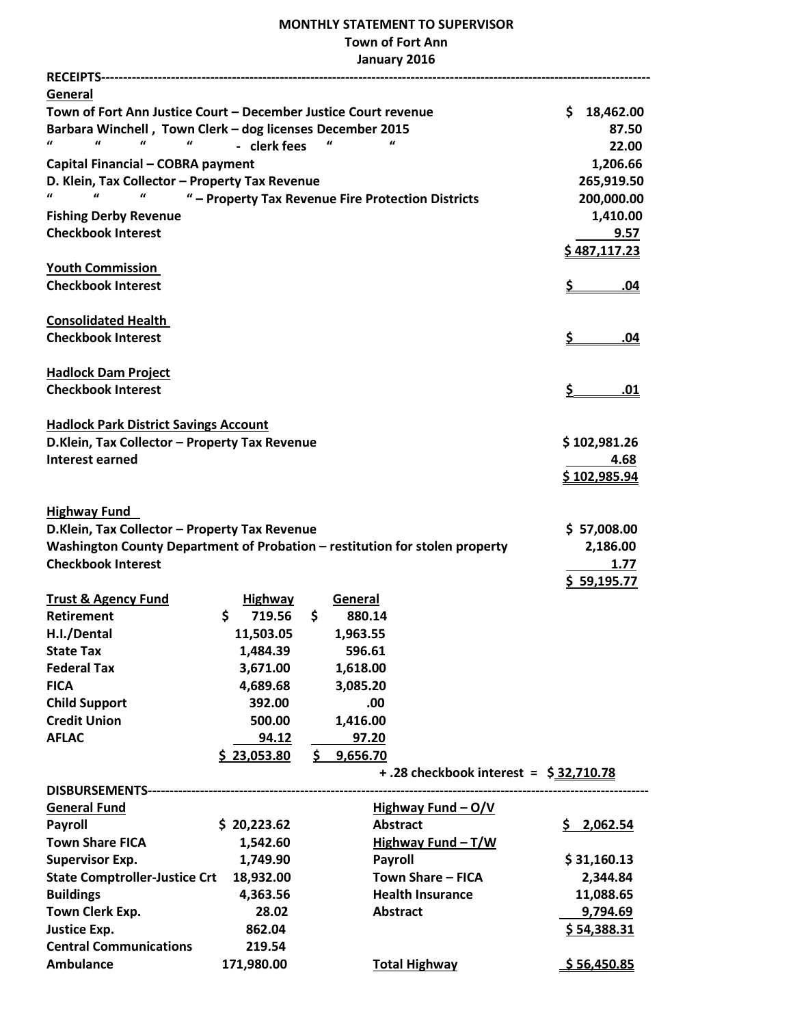## **MONTHLY STATEMENT TO SUPERVISOR Town of Fort Ann January 2016**

| RECEIPTS--------------------------                                           |                                                    |     |                 |                                        |                  |
|------------------------------------------------------------------------------|----------------------------------------------------|-----|-----------------|----------------------------------------|------------------|
| General                                                                      |                                                    |     |                 |                                        |                  |
| Town of Fort Ann Justice Court - December Justice Court revenue              |                                                    |     |                 |                                        | \$.<br>18,462.00 |
| Barbara Winchell, Town Clerk - dog licenses December 2015<br>87.50           |                                                    |     |                 |                                        |                  |
| $\boldsymbol{u}$<br>$\boldsymbol{u}$<br>$\boldsymbol{u}$<br>$\boldsymbol{u}$ | - clerk fees                                       |     |                 |                                        | 22.00            |
| Capital Financial - COBRA payment                                            |                                                    |     |                 |                                        | 1,206.66         |
| D. Klein, Tax Collector - Property Tax Revenue                               |                                                    |     |                 |                                        | 265,919.50       |
| $\pmb{\mathcal{U}}$                                                          | " - Property Tax Revenue Fire Protection Districts |     |                 |                                        | 200,000.00       |
| <b>Fishing Derby Revenue</b>                                                 |                                                    |     |                 |                                        | 1,410.00         |
| <b>Checkbook Interest</b>                                                    |                                                    |     |                 |                                        | 9.57             |
|                                                                              |                                                    |     |                 |                                        | \$487,117.23     |
| <b>Youth Commission</b>                                                      |                                                    |     |                 |                                        |                  |
| <b>Checkbook Interest</b>                                                    |                                                    |     |                 |                                        | <u>\$</u><br>.04 |
| <b>Consolidated Health</b>                                                   |                                                    |     |                 |                                        |                  |
| <b>Checkbook Interest</b>                                                    |                                                    |     |                 |                                        | \$<br><u>.04</u> |
|                                                                              |                                                    |     |                 |                                        |                  |
| <b>Hadlock Dam Project</b>                                                   |                                                    |     |                 |                                        |                  |
| <b>Checkbook Interest</b>                                                    |                                                    |     |                 |                                        | \$.<br>.01       |
| <b>Hadlock Park District Savings Account</b>                                 |                                                    |     |                 |                                        |                  |
| D.Klein, Tax Collector - Property Tax Revenue                                |                                                    |     |                 |                                        | \$102,981.26     |
| <b>Interest earned</b>                                                       |                                                    |     |                 |                                        | 4.68             |
|                                                                              |                                                    |     |                 |                                        | \$102,985.94     |
| <b>Highway Fund</b>                                                          |                                                    |     |                 |                                        |                  |
| D.Klein, Tax Collector - Property Tax Revenue                                |                                                    |     |                 |                                        | \$ 57,008.00     |
| Washington County Department of Probation - restitution for stolen property  |                                                    |     |                 |                                        | 2,186.00         |
| <b>Checkbook Interest</b>                                                    |                                                    |     |                 |                                        | 1.77             |
|                                                                              |                                                    |     |                 |                                        | \$59,195.77      |
| <b>Trust &amp; Agency Fund</b>                                               | <b>Highway</b>                                     |     | General         |                                        |                  |
| <b>Retirement</b>                                                            | \$<br>719.56                                       | \$  | 880.14          |                                        |                  |
| H.I./Dental                                                                  | 11,503.05                                          |     | 1,963.55        |                                        |                  |
| <b>State Tax</b>                                                             | 1,484.39                                           |     | 596.61          |                                        |                  |
| <b>Federal Tax</b>                                                           | 3,671.00                                           |     | 1,618.00        |                                        |                  |
| <b>FICA</b>                                                                  | 4,689.68                                           |     | 3,085.20        |                                        |                  |
| <b>Child Support</b>                                                         | 392.00                                             |     | .00             |                                        |                  |
| <b>Credit Union</b>                                                          | 500.00                                             |     | 1,416.00        |                                        |                  |
| <b>AFLAC</b>                                                                 | 94.12                                              |     | 97.20           |                                        |                  |
|                                                                              | \$23,053.80                                        | \$. | 9,656.70        |                                        |                  |
|                                                                              |                                                    |     |                 | + .28 checkbook interest = \$32,710.78 |                  |
|                                                                              |                                                    |     |                 |                                        |                  |
| <b>General Fund</b>                                                          |                                                    |     |                 | Highway Fund $-\frac{O/V}{V}$          |                  |
| <b>Payroll</b>                                                               | \$20,223.62                                        |     | <b>Abstract</b> |                                        | \$2,062.54       |
| <b>Town Share FICA</b>                                                       | 1,542.60                                           |     |                 | Highway Fund $-T/W$                    |                  |
| <b>Supervisor Exp.</b>                                                       | 1,749.90                                           |     | <b>Payroll</b>  |                                        | \$31,160.13      |
| <b>State Comptroller-Justice Crt</b>                                         | 18,932.00                                          |     |                 | <b>Town Share - FICA</b>               | 2,344.84         |
| <b>Buildings</b>                                                             | 4,363.56                                           |     |                 | <b>Health Insurance</b>                | 11,088.65        |
| Town Clerk Exp.                                                              | 28.02                                              |     | <b>Abstract</b> |                                        | 9,794.69         |
| <b>Justice Exp.</b>                                                          | 862.04                                             |     |                 |                                        | \$54,388.31      |
| <b>Central Communications</b>                                                | 219.54                                             |     |                 |                                        |                  |
| <b>Ambulance</b>                                                             | 171,980.00                                         |     |                 | <b>Total Highway</b>                   | \$56,450.85      |